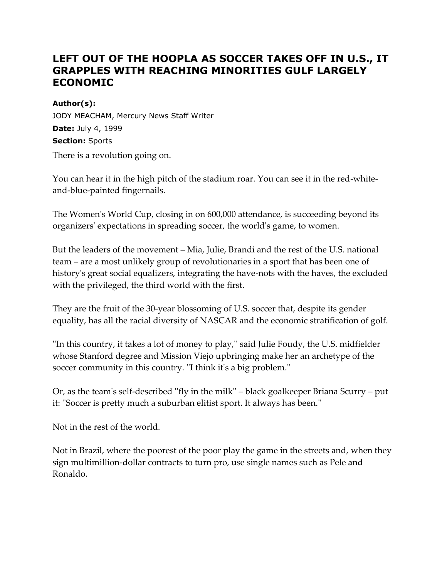# **LEFT OUT OF THE HOOPLA AS SOCCER TAKES OFF IN U.S., IT GRAPPLES WITH REACHING MINORITIES GULF LARGELY ECONOMIC**

#### **Author(s):**

JODY MEACHAM, Mercury News Staff Writer **Date:** July 4, 1999 **Section:** Sports

There is a revolution going on.

You can hear it in the high pitch of the stadium roar. You can see it in the red-whiteand-blue-painted fingernails.

The Women's World Cup, closing in on 600,000 attendance, is succeeding beyond its organizers' expectations in spreading soccer, the world's game, to women.

But the leaders of the movement – Mia, Julie, Brandi and the rest of the U.S. national team – are a most unlikely group of revolutionaries in a sport that has been one of history's great social equalizers, integrating the have-nots with the haves, the excluded with the privileged, the third world with the first.

They are the fruit of the 30-year blossoming of U.S. soccer that, despite its gender equality, has all the racial diversity of NASCAR and the economic stratification of golf.

''In this country, it takes a lot of money to play,'' said Julie Foudy, the U.S. midfielder whose Stanford degree and Mission Viejo upbringing make her an archetype of the soccer community in this country. ''I think it's a big problem.''

Or, as the team's self-described ''fly in the milk'' – black goalkeeper Briana Scurry – put it: ''Soccer is pretty much a suburban elitist sport. It always has been.''

Not in the rest of the world.

Not in Brazil, where the poorest of the poor play the game in the streets and, when they sign multimillion-dollar contracts to turn pro, use single names such as Pele and Ronaldo.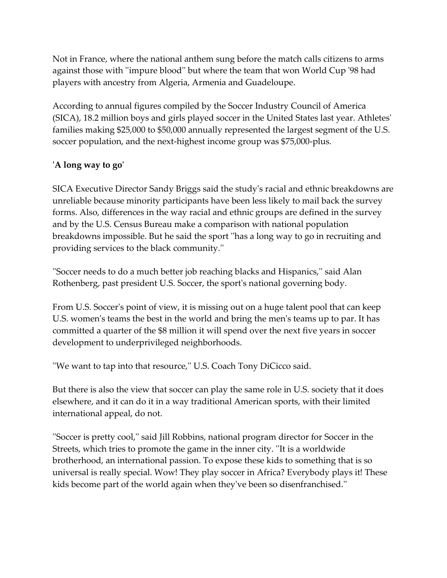Not in France, where the national anthem sung before the match calls citizens to arms against those with ''impure blood'' but where the team that won World Cup '98 had players with ancestry from Algeria, Armenia and Guadeloupe.

According to annual figures compiled by the Soccer Industry Council of America (SICA), 18.2 million boys and girls played soccer in the United States last year. Athletes' families making \$25,000 to \$50,000 annually represented the largest segment of the U.S. soccer population, and the next-highest income group was \$75,000-plus.

# **'A long way to go'**

SICA Executive Director Sandy Briggs said the study's racial and ethnic breakdowns are unreliable because minority participants have been less likely to mail back the survey forms. Also, differences in the way racial and ethnic groups are defined in the survey and by the U.S. Census Bureau make a comparison with national population breakdowns impossible. But he said the sport ''has a long way to go in recruiting and providing services to the black community.''

''Soccer needs to do a much better job reaching blacks and Hispanics,'' said Alan Rothenberg, past president U.S. Soccer, the sport's national governing body.

From U.S. Soccer's point of view, it is missing out on a huge talent pool that can keep U.S. women's teams the best in the world and bring the men's teams up to par. It has committed a quarter of the \$8 million it will spend over the next five years in soccer development to underprivileged neighborhoods.

''We want to tap into that resource,'' U.S. Coach Tony DiCicco said.

But there is also the view that soccer can play the same role in U.S. society that it does elsewhere, and it can do it in a way traditional American sports, with their limited international appeal, do not.

''Soccer is pretty cool,'' said Jill Robbins, national program director for Soccer in the Streets, which tries to promote the game in the inner city. ''It is a worldwide brotherhood, an international passion. To expose these kids to something that is so universal is really special. Wow! They play soccer in Africa? Everybody plays it! These kids become part of the world again when they've been so disenfranchised.''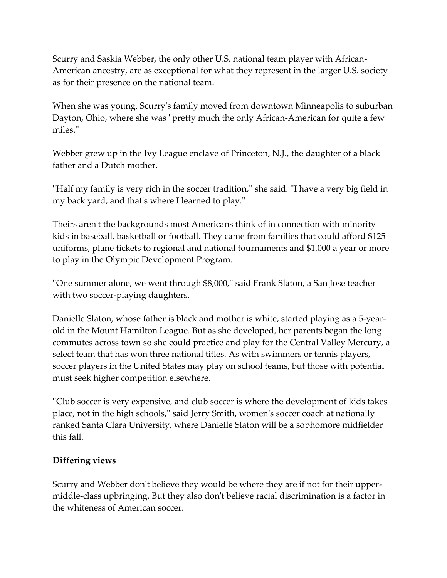Scurry and Saskia Webber, the only other U.S. national team player with African-American ancestry, are as exceptional for what they represent in the larger U.S. society as for their presence on the national team.

When she was young, Scurry's family moved from downtown Minneapolis to suburban Dayton, Ohio, where she was ''pretty much the only African-American for quite a few miles.''

Webber grew up in the Ivy League enclave of Princeton, N.J., the daughter of a black father and a Dutch mother.

''Half my family is very rich in the soccer tradition,'' she said. ''I have a very big field in my back yard, and that's where I learned to play.''

Theirs aren't the backgrounds most Americans think of in connection with minority kids in baseball, basketball or football. They came from families that could afford \$125 uniforms, plane tickets to regional and national tournaments and \$1,000 a year or more to play in the Olympic Development Program.

''One summer alone, we went through \$8,000,'' said Frank Slaton, a San Jose teacher with two soccer-playing daughters.

Danielle Slaton, whose father is black and mother is white, started playing as a 5-yearold in the Mount Hamilton League. But as she developed, her parents began the long commutes across town so she could practice and play for the Central Valley Mercury, a select team that has won three national titles. As with swimmers or tennis players, soccer players in the United States may play on school teams, but those with potential must seek higher competition elsewhere.

''Club soccer is very expensive, and club soccer is where the development of kids takes place, not in the high schools,'' said Jerry Smith, women's soccer coach at nationally ranked Santa Clara University, where Danielle Slaton will be a sophomore midfielder this fall.

## **Differing views**

Scurry and Webber don't believe they would be where they are if not for their uppermiddle-class upbringing. But they also don't believe racial discrimination is a factor in the whiteness of American soccer.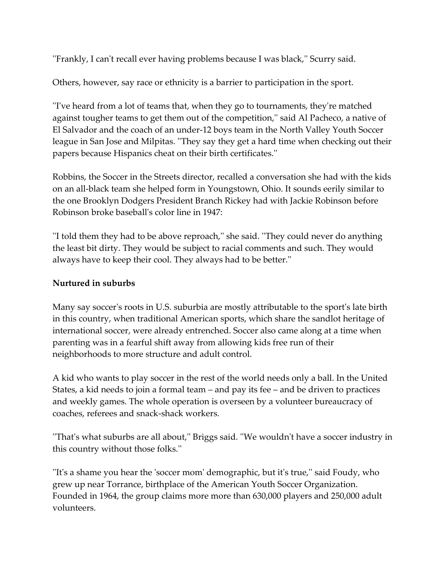''Frankly, I can't recall ever having problems because I was black,'' Scurry said.

Others, however, say race or ethnicity is a barrier to participation in the sport.

''I've heard from a lot of teams that, when they go to tournaments, they're matched against tougher teams to get them out of the competition,'' said Al Pacheco, a native of El Salvador and the coach of an under-12 boys team in the North Valley Youth Soccer league in San Jose and Milpitas. ''They say they get a hard time when checking out their papers because Hispanics cheat on their birth certificates.''

Robbins, the Soccer in the Streets director, recalled a conversation she had with the kids on an all-black team she helped form in Youngstown, Ohio. It sounds eerily similar to the one Brooklyn Dodgers President Branch Rickey had with Jackie Robinson before Robinson broke baseball's color line in 1947:

''I told them they had to be above reproach,'' she said. ''They could never do anything the least bit dirty. They would be subject to racial comments and such. They would always have to keep their cool. They always had to be better.''

## **Nurtured in suburbs**

Many say soccer's roots in U.S. suburbia are mostly attributable to the sport's late birth in this country, when traditional American sports, which share the sandlot heritage of international soccer, were already entrenched. Soccer also came along at a time when parenting was in a fearful shift away from allowing kids free run of their neighborhoods to more structure and adult control.

A kid who wants to play soccer in the rest of the world needs only a ball. In the United States, a kid needs to join a formal team – and pay its fee – and be driven to practices and weekly games. The whole operation is overseen by a volunteer bureaucracy of coaches, referees and snack-shack workers.

''That's what suburbs are all about,'' Briggs said. ''We wouldn't have a soccer industry in this country without those folks.''

''It's a shame you hear the 'soccer mom' demographic, but it's true,'' said Foudy, who grew up near Torrance, birthplace of the American Youth Soccer Organization. Founded in 1964, the group claims more more than 630,000 players and 250,000 adult volunteers.